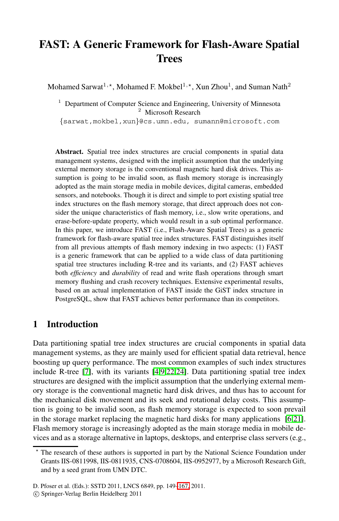# **FAST: A Generic Framework for Flash-Aware Spatial Trees**

Mohamed Sarwat $^{1,\star}$ , Mohamed F. Mokbel $^{1,\star}$ , Xun Zhou $^{1}$ , and Suman Nath $^{2}$ 

<sup>1</sup> Department of Computer Science and Engineering, University of Minnesota <sup>2</sup> Microsoft Research

*{*sarwat,mokbel,xun*}*@cs.umn.edu, sumann@microsoft.com

**Abstract.** Spatial tree index structures are crucial components in spatial data management systems, designed with the implicit assumption that the underlying external memory storage is the conventional magnetic hard disk drives. This assumption is going to be invalid soon, as flash memory storage is increasingly adopted as the main storage media in mobile devices, digital cameras, embedded sensors, and notebooks. Though it is direct and simple to port existing spatial tree index structures on the flash memory storage, that direct approach does not consider the unique characteristics of flash memory, i.e., slow write operations, and erase-before-update property, which would result in a sub optimal performance. In this paper, we introduce FAST (i.e., Flash-Aware Spatial Trees) as a generic framework for flash-aware spatial tree index structures. FAST distinguishes itself from all previous attempts of flash memory indexing in two aspects: (1) FAST is a generic framework that can be applied to a wide class of data partitioning spatial tree structures including R-tree and its variants, and (2) FAST achieves both *efficiency* and *durability* of read and write flash operations through smart memory flushing and crash recovery techniques. Extensive experimental results, based on an actual implementation of FAST inside the GiST index structure in PostgreSQ[L,](#page-18-0) [sh](#page-18-1)[ow](#page-18-2) [that](#page-18-3) FAST achieves better performance than its competitors.

# **1 Introduction**

Data partitioning spatial tree index structures are crucial [co](#page-18-4)[mpo](#page-18-5)nents in spatial data management systems, as they are mainly used for efficient spatial data retrieval, hence boosting up query performance. The most common examples of such index structures include R-tree [7], with its variants [4,9,22,24]. Data partitioning spatial tree index structures are designed with the implicit assumption that the underlying external memory storage is the conventional magnetic hard disk drives, and thus has to account for the mechanical disk movement and its seek and rotational delay costs. This assumption is going to be inval[id so](#page-18-6)on, as flash memory storage is expected to soon prevail in the storage market replacing the magnetic hard disks for many applications [6,21]. Flash memory storage is increasingly adopted as the main storage media in mobile devices and as a storage alternative in laptops, desktops, and enterprise class servers (e.g.,

<sup>\*</sup> The research of these authors is supported in part by the National Science Foundation under Grants IIS-0811998, IIS-0811935, CNS-0708604, IIS-0952977, by a Microsoft Research Gift, and by a seed grant from UMN DTC.

D. Pfoser et al. (Eds.): SSTD 2011, LNCS 6849, pp. 149–167, 2011.

<sup>-</sup>c Springer-Verlag Berlin Heidelberg 2011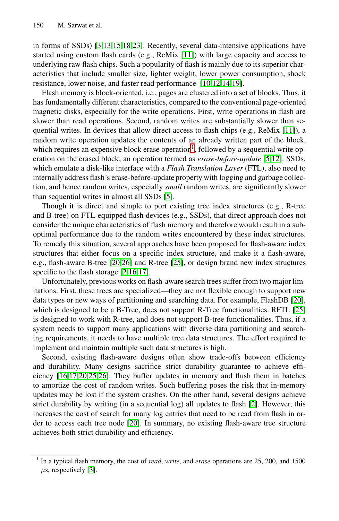in forms of SSDs) [3,13,15,18,23]. Recently, several data-intensive applications have started using custom flash cards (e.g., ReMix [11]) with l[arge](#page-18-7) capacity and access to underlying raw flash chips. Such a popularity of flash is mainly due to its superior characteristics that include small[er](#page-1-0) size, lighter weight, lower power consumption, shock resistance, lower noise, and faster read performance [\[1](#page-18-8)[0,1](#page-18-9)2,14,19].

Flash memory is block-oriented, i.e., pages are clustered into a set of blocks. Thus, it has fundamentally different characteristics, compared to the conventional page-oriented magnetic disks, especially for the write operations. First, write operations in flash are slower than read ope[ra](#page-18-8)tions. Second, random writes are substantially slower than sequential writes. In devices that allow direct access to flash chips (e.g., ReMix [11]), a random write operation updates the contents of an already written part of the block, which requires an expensive block erase operation<sup>1</sup>, followed by a sequential write operation on the erased block; an operation termed as *erase-before-update* [5,12]. SSDs, which emulate a disk-like interface with a *Flash Translation Layer* (FTL), also need to internally address flash's erase-before-update property with logging and garbage collection[, an](#page-18-10)[d h](#page-18-11)ence random [wr](#page-18-12)ites, especially *small* random writes, are significantly slower than se[qu](#page-18-13)[ent](#page-18-14)[ial](#page-18-15) writes in almost all SSDs [5].

Though it is direct and simple to port existing tree index structures (e.g., R-tree and B-tree) on FTL-equipped flash devices (e.g., SSDs), that direct approach does not consider the unique characteristics of flash memory and theref[ore](#page-18-10) would result in a suboptimal performance due to the random writes encountered b[y th](#page-18-12)ese index structures. To remedy this situation, several approaches have been proposed for flash-aware index structures that either focus on a specific index structure, and make it a flash-aware, e.g., flash-aware B-tree [20,26] and R-tree [25], or design brand new index structures specific to the flash storage [2,16,17].

Unfortunately, previous works on flash-aware search trees suffer from two major limitations. First, these trees are specialized—they are not flexible enough to support new [dat](#page-18-11)a types or new ways of partitioning and searching data. For example, FlashDB [20], which is designed to be a B-Tree, does not support R-Tree functionalities. RFTL [25] is designed to work with R-tree, and does not support B-tree functionalities. Thus, if a system needs to support many applications wit[h d](#page-18-13)iverse data partitioning and searching requirements, it needs to have multiple tree data structures. The effort required to impleme[nt an](#page-18-10)d maintain multiple such data structures is high.

<span id="page-1-0"></span>Second, existing flash-aware designs often show trade-offs between efficiency and durability. Many designs sacrifice strict durability guarantee to achieve efficiency [16,17,20,25,26]. They buffer updates in memory and flush them in batches to amortize the cost of random writes. Such buffering poses the risk that in-memory updates may be lost if the system crashes. On the other hand, several designs achieve strict durability by writing (in a sequential log) all updates to flash [2]. However, this increases the cost of search for many log entries that need to be read from flash in order to access each tree node [20]. In summary, no existing flash-aware tree structure achieves both strict durability and efficiency.

<sup>1</sup> In a typical flash memory, the cost of *read*, *write*, and *erase* operations are 25, 200, and 1500  $\mu$ s, respectively [3].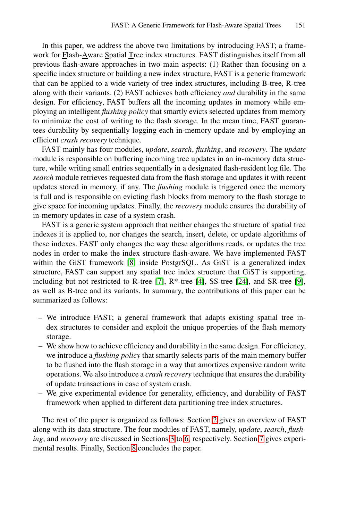In this paper, we address the above two limitations by introducing FAST; a framework for Flash-Aware Spatial Tree index structures. FAST distinguishes itself from all previous flash-aware approaches in two main aspects: (1) Rather than focusing on a specific index structure or building a new index structure, FAST is a generic framework that can be applied to a wide variety of tree index structures, including B-tree, R-tree along with their variants. (2) FAST achieves both efficiency *and* durability in the same design. For efficiency, FAST buffers all the incoming updates in memory while employing an intelligent *flushing policy* that smartly evicts selected updates from memory to minimize the cost of writing to the flash storage. In the mean time, FAST guarantees durability by sequentially logging each in-memory update and by employing an efficient *crash recovery* technique.

FAST mainly has four modules, *update*, *search*, *flushing*, and *recovery*. The *update* module is responsible on buffering incoming tree updates in an in-memory data structure, while writing small entries sequentially in a designated flash-resident log file. The *search* module retrieves requested data from the flash storage and updates it with recent updates s[tor](#page-18-16)ed in memory, if any. The *flushing* module is triggered once the memory is full and is responsible on evicting flash blocks from memory to the flash storage to give space for inc[om](#page-18-17)ing update[s.](#page-18-0) Finally, the *[rec](#page-18-3)overy* module [en](#page-18-1)sures the durability of in-memory updates in case of a system crash.

FAST is a generic system approach that neither changes the structure of spatial tree indexes it is applied to, nor changes the search, insert, delete, or update algorithms of these indexes. FAST only changes the way these algorithms reads, or updates the tree nodes in order to make the index structure flash-aware. We have implemented FAST within the GiST framework [8] inside PostgrSQL. As GiST is a generalized index structure, FAST can support any spatial tree index structure that GiST is supporting, including but not restricted to R-tree [7],  $R^*$ -tree [4], SS-tree [24], and SR-tree [9], as well as B-tree and its variants. In summary, the contributions of this paper can be summarized as follows:

- We introduce FAST; a general framework that adapts existing spatial tree index structures to consider and exploit the unique properties of the flash memory storage.
- We show how to achieve efficie[ncy](#page-3-0) and durability in the same design. For efficiency, we introduce a *flushing policy* that smartly selects parts of the main memory buffer to be flushed into [the](#page-5-0) fl[as](#page-11-0)h storage in a way th[at a](#page-13-0)mortizes expensive random write opera[tio](#page-17-0)ns. We also introduce a *crash recovery* technique that ensures the durability of update transactions in case of system crash.
- We give experimental evidence for generality, efficiency, and durability of FAST framework when applied to different data partitioning tree index structures.

The rest of the paper is organized as follows: Section 2 gives an overview of FAST along with its data structure. The four modules of FAST, namely, *update*, *search*, *flushing*, and *recovery* are discussed in Sections 3 to 6, respectively. Section 7 gives experimental results. Finally, Section 8 concludes the paper.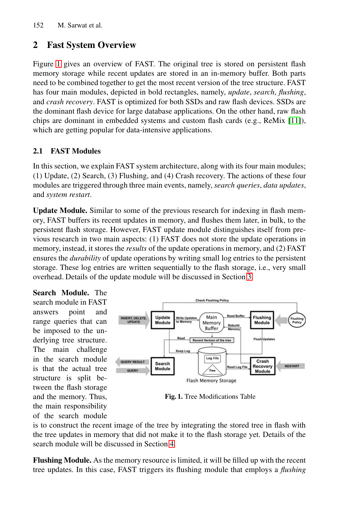# <span id="page-3-0"></span>**2 Fast System Overview**

Figure 1 gives an overview of FAST. The original tree is stored on persistent flash memory storage while recent updates are stored in an in-memory buffer. Both parts need to be combined together to get the most recent version of the tree structure. FAST has four main modules, depicted in bold rectangles, namely, *update*, *search*, *flushing*, and *crash recovery*. FAST is optimized for both SSDs and raw flash devices. SSDs are the dominant flash device for large database applications. On the other hand, raw flash chips are dominant in embedded systems and custom flash cards (e.g., ReMix [11]), which are getting popular for data-intensive applications.

### **2.1 FAST Modules**

In this section, we explain FAST system architecture, along with its four main modules; (1) Update, (2) Search, (3) Flushing, and (4) Crash recovery. The actions of these four modules are triggered through three main events, namely, *search queries*, *data updates*, and *system restart*.

**Update Module.** Similar to some of the previ[ous](#page-5-0) research for indexing in flash memory, FAST buffers its recent updates in memory, and flushes them later, in bulk, to the persistent flash storage. However, FAST update module distinguishes itself from previous research in two main aspects: (1) FAST does not store the update operations in memory, instead, it stores the *results* of the update operations in memory, and (2) FAST ensures the *durability* of update operations by writing small log entries to the persistent storage. These log entries are written sequentially to the flash storage, i.e., very small overhead. Details of the update module will be discussed in Section 3.

**Search Module.** The search module in FAST answers point and range queries that can be imposed to the underlying tree structure. The main challenge in the search module is that the actual tre[e](#page-6-0) structure is split between the flash storage and the memory. Thus, the main responsibility of the search module



**Fig. 1.** Tree Modifications Table

is to construct the recent image of the tree by integrating the stored tree in flash with the tree updates in memory that did not make it to the flash storage yet. Details of the search module will be discussed in Section 4.

**Flushing Module.** As the memory resource is limited, it will be filled up with the recent tree updates. In this case, FAST triggers its flushing module that employs a *flushing*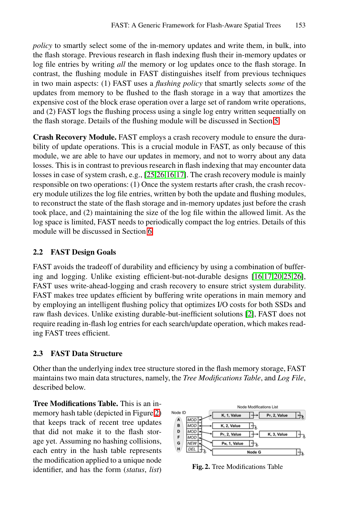*policy* to smartly select some of the in-memory update[s a](#page-8-0)nd write them, in bulk, into the flash storage. Previous research in flash indexing flush their in-memory updates or log file entries by writing *all* the memory or log updates once to the flash storage. In contrast, the flushing module in FAST distinguishes itself from previous techniques in two main aspects: (1) FAST uses a *flushing policy* that smartly selects *some* of the updates from memory to be flushed to the flash storage in a way that amortizes the expensive cost [of t](#page-18-12)[he](#page-18-11) [blo](#page-18-14)[ck](#page-18-15) erase operation over a large set of random write operations, and (2) FAST logs the flushing process using a single log entry written sequentially on the flash storage. Details of the flushing module will be discussed in Section 5.

**Crash Recovery Module.** FAST employs a crash recovery module to ensure the durability of update operations. This is a crucial module in FAST, as only because of this module, we ar[e a](#page-11-0)ble to have our updates in memory, and not to worry about any data losses. This is in contrast to previous research in flash indexing that may encounter data losses in case of system crash, e.g., [25,26,16,17]. The crash recovery module is mainly responsible on two operations: (1) Once the system restarts after crash, the crash recovery module utilizes the log file entries, written by both the update and flushing modules, to reconstruct the state of the flash storage and in[-me](#page-18-14)[mo](#page-18-15)[ry](#page-18-10) [upd](#page-18-12)[ate](#page-18-11)s just before the crash took place, and (2) maintaining the size of the log file within the allowed limit. As the log space is limited, FAST needs to periodically compact the log entries. Details of this module will be discussed in Section 6.

#### **2.2 FAST Design Goals**

FAST avoids the tradeoff of durability and efficiency by using a combination of buffering and logging. Unlike existing efficient-but-not-durable designs [16,17,20,25,26], FAST uses write-ahead-logging and crash recovery to ensure strict system durability. FAST makes tree updates efficient by buffering write operations in main memory and by employing an intelligent flushing policy that optimizes I/O costs for both SSDs and raw flash devices. Unlike existing durable-but-inefficient solutions [2], FAST does not require reading in-flash log entries for each search/update operation, which makes reading FAST trees ef[fic](#page-4-0)ient.

### **2.3 FAST Data Structure**

Other than the underlying index tree structure stored in the flash memory storage, FAST maintains two main data structures, namely, the *Tree Modifications Table*, and *Log File*, described below.

**Tree Modifications Table.** This is an inmemory hash table (depicted in Figure 2) that keeps track of recent tree updates that did not make it to the flash storage yet. Assuming no hashing collisions, each entry in the hash table represents the modification applied to a unique node identifier, and has the form (*status*, *list*)

<span id="page-4-0"></span>

**Fig. 2.** Tree Modifications Table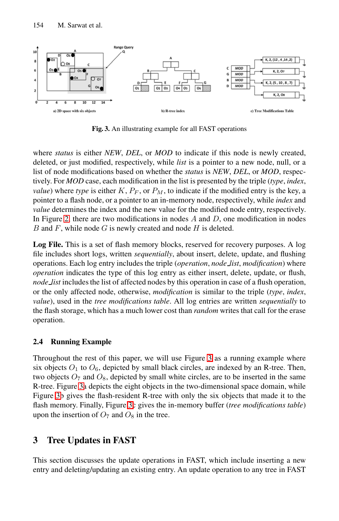<span id="page-5-1"></span>



**Fig. 3.** An illustrating example for all FAST operations

where *status* is either *NEW*, *DEL*, or *MOD* to indicate if this node is newly created, deleted, or just modified, respectively, while *list* is a pointer to a new node, null, or a list of node modifications based on whether the *status* is *NEW*, *DEL*, or *MOD*, respectively. For *MOD* case, each modification in the list is presented by the triple (*type*, *index*, *value*) where *type* is either  $K$ ,  $P_F$ , or  $P_M$ , to indicate if the modified entry is the key, a pointer to a flash node, or a pointer to an in-memory node, respectively, while *index* and *value* determines the index and the new value for the modified node entry, respectively. In Figure 2, there are two modifications in nodes *A* and *D*, one modification in nodes *B* and *F*, while node *G* is newly created and node *H* is deleted.

**Log File.** This is a set of flash memory blocks, reserved for recovery purposes. A log file includes short logs, written *sequentially*, about insert, delete, update, and flushing operations. Each log entry includes the triple (*operation*, *node list*, *modification*) where *operation* indicates the type of this log entry as either insert, delete, update, or flush, *node list* includes the list of affecte[d n](#page-5-1)odes by this operation in case of a flush operation, or the only affected node, otherwise, *modification* is similar to the triple (*type*, *index*, *value*), used in the *tree modifications table*. All log entries are written *sequentially* to the flash storage, which has a much lower cost than *random* writes that call for the erase operation.

### **2.4 Running Example**

<span id="page-5-0"></span>Throughout the rest of this paper, we will use Figure 3 as a running example where six objects  $O_1$  to  $O_6$ , depicted by small black circles, are indexed by an R-tree. Then, two objects  $O_7$  and  $O_8$ , depicted by small white circles, are to be inserted in the same R-tree. Figure 3a depicts the eight objects in the two-dimensional space domain, while Figure 3b gives the flash-resident R-tree with only the six objects that made it to the flash memory. Finally, Figure 3c gives the in-memory buffer (*tree modifications table*) upon the insertion of  $O_7$  and  $O_8$  in the tree.

# **3 Tree Updates in FAST**

This section discusses the update operations in FAST, which include inserting a new entry and deleting/updating an existing entry. An update operation to any tree in FAST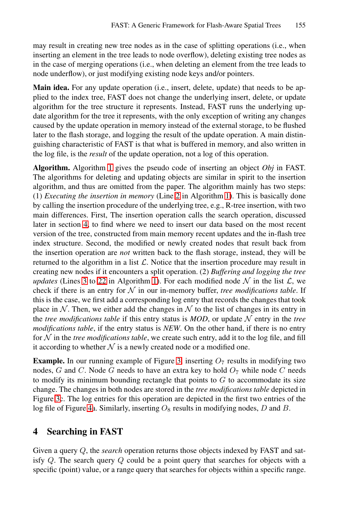may result in creating new tree nodes as in the case of splitting operations (i.e., when inserting an element in the tree leads to node overflow), deleting existing tree nodes as in the case of merging operations (i.e., when deleting an element from the tree leads to node underflow), or just modifying existing node keys and/or pointers.

**Main idea.** For any update operation (i.e., insert, delete, update) that needs to be appli[ed](#page-7-0) to the index tree, FAST does not change the underlying insert, delete, or update algorithm for the tree structure it represents. Instead, FAST runs the underlying update algorithm for the tree it represents, with the only exception of writing any changes caused by the update op[era](#page-7-1)tion in memo[ry](#page-7-0) instead of the external storage, to be flushed later to the flash storage, and logging the result of the update operation. A main distinguishing characteristic of FAST is that what is buffered in memory, and also written in the log file, is the *result* of the update operation, not a log of this operation.

**Algorithm.** Algorithm 1 gives the pseudo code of inserting an object *Obj* in FAST. The algorithms for deleting and updating objects are similar in spirit to the insertion algorithm, and thus are omitted from the paper. The algorithm mainly has two steps: (1) *Executing the insertion in memory* (Line 2 in Algorithm 1). This is basically done [by](#page-7-2) calling the ins[ert](#page-7-0)ion procedure of the underlying tree, e.g., R-tree insertion, with two main differences. First, The insertion operation calls the search operation, discussed later in section 4, to find where we need to insert our data based on the most recent version of the tree, constructed from main memory recent updates and the in-flash tree index structure. Second, the modified or newly created nodes that result back from the insertion operation are *not* written back to the flash storage, instead, they will be returned to the algorithm in a list  $\mathcal{L}$ . Notice that the insertion procedure may result in creating new nodes if it encounters a split operation. (2) *Buffering and logging the tree updates* (Lines 3 to 22 in Algorithm 1). For each modified node  $N$  in the list  $\mathcal{L}$ , we check if there is an entr[y](#page-5-1) [f](#page-5-1)or  $N$  in our in-memory buffer, *tree modifications table*. If this is the case, we first add a corresponding log entry that records the changes that took place in N. Then, we either add the changes in N to the list of changes in its entry in the *tree modifications table* if this entry status is  $MOD$ , or update  $N$  entry in the *tree modifications table*, if the entry status is *NEW*. On the other hand, if there is no entry for  $N$  in the *tree modifications table*, we create such entry, add it to the log file, and fill it according to whether  $N$  is a newly created node or a modified one.

<span id="page-6-0"></span>**Example.** In our running example of Figure 3, inserting  $O_7$  results in modifying two nodes, *G* and *C*. Node *G* needs to have an extra key to hold  $O_7$  while node *C* needs to modify its minimum bounding rectangle that points to *G* to accommodate its size change. The changes in both nodes are stored in the *tree modifications table* depicted in Figure 3c. The log entries for this operation are depicted in the first two entries of the log file of Figure 4a. Similarly, inserting  $O_8$  results in modifying nodes, *D* and *B*.

# **4 Searching in FAST**

Given a query *Q*, the *search* operation returns those objects indexed by FAST and satisfy *Q*. The search query *Q* could be a point query that searches for objects with a specific (point) value, or a range query that searches for objects within a specific range.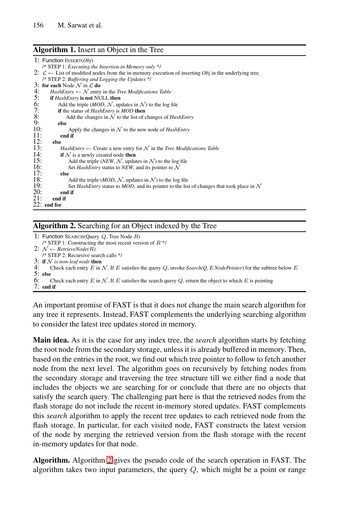#### <span id="page-7-7"></span><span id="page-7-6"></span><span id="page-7-5"></span><span id="page-7-4"></span><span id="page-7-1"></span><span id="page-7-0"></span>**Algorithm 1.** Insert an Object in the Tree

```
1: Function INSERT(Obj)
     /* STEP 1: Executing the Insertion in Memory only */
2: \mathcal{L} \leftarrow List of modified nodes from the in-memory execution of inserting Obj in the underlying tree
     /* STEP 2: Buffering and Logging the Updates */
3: for each Node \mathcal{N} in \mathcal{L} do<br>4: HashEntry \leftarrow \mathcal{N} entry
4: HashEntry \leftarrow N entry in the Tree Modifications Table 5: if HashEntry is not NULL then
5: if HashEntry is not NULL then<br>6: Add the triple (MOD, N, up<br>7: if the status of HashEntry is<br>8: Add the changes in N to<br>9: else
              Add the triple (MOD, N, updates in N) to the log file
              if the status of HashEntry is MOD then
              Add the changes in \hat{N} to the list of changes of HashEntry<br>else
9: else<br>
10: Apply the changes in \mathcal N to the new node of HashEntry
11: end if
11:<br>
12: else<br>
13:<br>
14: i<br>
15:
                HashEntry \leftarrow Create a new entry for N in the Tree Modifications Table
               if N is a newly created node then
                    Add the triple (NEW, \mathcal{N}, updates in \mathcal{N}) to the log file
                Set HashEntry status to NEW, and its pointer to \Lambda<br>else
16:<br>
17:<br>
18:<br>
19:
                    Add the triple (MOD, N, updates in N) to the log file
19: Set HashEntry status to MOD, and its pointer to the list of changes that took place in N<br>20: end if
20: end if
           end if
      end for
```
<span id="page-7-3"></span>**Algorithm 2.** Searching for an Object indexed by the Tree

```
1: Function SEARCH(Query Q, Tree Node R)
    /* STEP 1: Constructing the most recent version of R */
2: N \leftarrow RetrieveNode(R)
    /* STEP 2: Recursive search calls */
3: if N is non-leaf node then<br>4. Check each entry F in
       4: Check each entry E in N. If E satisfies the query Q, invoke Search(Q, E.NodePointer) for the subtree below E
5: else
       Check each entry E in N. If E satisfies the search query Q, return the object to which E is pointing
    7: end if
```
An important promise of FAST is that it does not change the main search algorithm for any tree it represents. Instead, FAST complements the underlying searching algorithm to consider the latest tree updates stored in memory.

**Main idea.** As it is the case for any index tree, the *search* algorithm starts by fetching the root node from the secondary storage, unless it is already buffered in memory. Then, based on the entries in the root, we find out which tree pointer to follow to fetch another node from the next level. The algorithm goes on recursively by fetching nodes from the secondary storage and traversing the tree structure till we either find a node that in[clu](#page-7-3)des the objects we are searching for or conclude that there are no objects that satisfy the search query. The challenging part here is that the retrieved nodes from the flash storage do not include the recent in-memory stored updates. FAST complements this *search* algorithm to apply the recent tree updates to each retrieved node from the flash storage. In particular, for each visited node, FAST constructs the latest version of the node by merging the retrieved version from the flash storage with the recent in-memory updates for that node.

**Algorithm.** Algorithm 2 gives the pseudo code of the search operation in FAST. The algorithm takes two input parameters, the query *Q*, which might be a point or range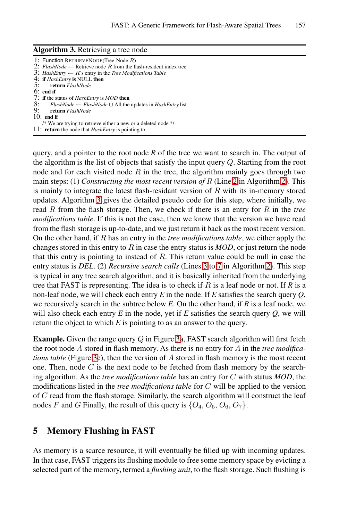<span id="page-8-1"></span>**Algorithm 3.** Retrieving a tree node

1: Function RETRIEVENODE(Tree Node R) 2: *FlashNode* ← Retrieve node R from the flash-resident index tree 3: *HashEntry* ← R's entry in the *Tree Modifications Table* 4: **if** *HashEntry* **is** NULL **then** 5: **return** *FlashNode* 6: **end if** 7: **if** the status of *HashEntry* is *MOD* **then**<br>8: *ElashNode*  $\leftarrow$  *ElashNode*  $\cup$  All the 8: *FlashNode* ← *FlashNode* ∪ All the updates in *Hash[Ent](#page-7-1)ry* list  $\Theta$  **return** *FlashNode* 9: **return** *FlashNode*  $10<sub>r</sub>$  end if  $\frac{1}{2}$  We are trying to retrieve either a new or a deleted node  $\frac{1}{2}$ [11](#page-8-1): **return** the node that *HashEntry* is pointing to

query, and a pointer to the root node *R* of the tree we want to search in. The output of the algorithm is the list of objects that satisfy the input query *Q*. Starting from the root node and for each visited node *R* in the tree, the algorithm mainly goes through two main steps: (1) *Constructing the most recent version of R* (Line 2 in Algorithm 2). This is mainly to integrate the latest [flas](#page-7-4)h[-re](#page-7-5)sidant versio[n o](#page-7-3)f *R* with its in-memory stored updates. Algorithm 3 gives the detailed pseudo code for this step, where initially, we read *R* from the flash storage. Then, we check if there is an entry for *R* in the *tree modifications table*. If this is not the case, then we know that the version we have read from the flash storage is up-to-date, and we just return it back as the most recent version. On the other hand, if *R* has an entry in the *tree modifications table*, we either apply the changes stored in this entry to *R* in case the entry status is *MOD*, or just return the node that this entry is pointing to instead of *R*. This return value could be null in case the entry status is *DEL*. (2) *[Re](#page-5-1)cursive search calls* (Lines 3 to 7 in Algorithm 2). This step is typical in any tree search algorithm, and it is basically inherited from the underlying tree that FAST is representing. The idea is to check if *R* is a leaf node or not. If *R* is a non-leaf node, we will check each entry *E* in the node. If *E* satisfies the search query *Q*, we recursively search in the subtree below *E*. On the other hand, if *R* is a leaf node, we will also check each entry *E* in the node, yet if *E* satisfies the search query *Q*, we will return the object to which *E* is pointing to as an answer to the query.

<span id="page-8-0"></span>**Example.** Given the range query *Q* in Figure 3a, FAST search algorithm will first fetch the root node *A* stored in flash memory. As there is no entry for *A* in the *tree modifications table* (Figure 3c), then the version of *A* stored in flash memory is the most recent one. Then, node *C* is the next node to be fetched from flash memory by the searching algorithm. As the *tree modifications table* has an entry for *C* with status *MOD*, the modifications listed in the *tree modifications table* for *C* will be applied to the version of *C* read from the flash storage. Similarly, the search algorithm will construct the leaf nodes *F* and *G* Finally, the result of this query is  $\{O_4, O_5, O_6, O_7\}$ .

# **5 Memory Flushing in FAST**

As memory is a scarce resource, it will eventually be filled up with incoming updates. In that case, FAST triggers its flushing module to free some memory space by evicting a selected part of the memory, termed a *flushing unit*, to the flash storage. Such flushing is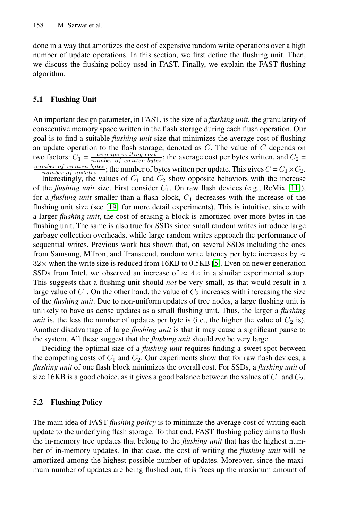done in a way that amortizes the cost of expensive random write operations over a high number of update operations. In this section, we first define the flushing unit. Then, we discuss the flushing policy used in FAST. Finally, we explain the FAST flushing algorithm.

#### **5.1 Flushing Unit**

An important design parameter, in FAST, is the size of a *flush[ing](#page-18-7) unit*, the granularity of consecutive memory space written in the flash storage during each flush operation. Our go[al](#page-18-18) [is](#page-18-18) to find a suitable *flushing unit* size that minimizes the average cost of flushing an update operation to the flash storage, denoted as *C*. The value of *C* depends on two factors:  $C_1 = \frac{average \ writing \ cost}{written \ bytes}$ ; the average cost per bytes written, and  $C_2 =$  $\frac{number\ of\ written\ bytes}{number\ of\ updates}$ ; the number of bytes written per update. This gives  $C = C_1 \times C_2$ .

Interestingly, the values of  $C_1$  and  $C_2$  show opposite behaviors with the increase of the *flushing unit* size. First consi[de](#page-18-8)r *C*1. On raw flash devices (e.g., ReMix [11]), for a *flushing unit* smaller than a flash block, *C*<sup>1</sup> decreases with the increase of the flushing unit size (see [19] for more detail experiments). This is intuitive, since with a larger *flushing unit*, the cost of erasing a block is amortized over more bytes in the flushing unit. The same is also true for SSDs since small random writes introduce large garbage collection overheads, while large random writes approach the performance of sequential writes. Previous work has shown that, on several SSDs including the ones from Samsung, MTron, and Transcend, random write latency per byte increases by  $\approx$  $32\times$  when the write size is reduced from 16KB to 0.5KB [5]. Even on newer generation SSDs from Intel, we observed an increase of  $\approx 4 \times$  in a similar experimental setup. This suggests that a flushing unit should *not* be very small, as that would result in a large value of  $C_1$ . On the other hand, the value of  $C_2$  increases with increasing the size of the *flushing unit*. Due to non-uniform updates of tree nodes, a large flushing unit is unlikely to have as dense updates as a small flushing unit. Thus, the larger a *flushing unit* is, the less the number of updates per byte is (i.e., the higher the value of  $C_2$  is). Another disadvantage of large *flushing unit* is that it may cause a significant pause to the system. All these suggest that the *flushing unit* should *not* be very large.

Deciding the optimal size of a *flushing unit* requires finding a sweet spot between the competing costs of  $C_1$  and  $C_2$ . Our experiments show that for raw flash devices, a *flushing unit* of one flash block minimizes the overall cost. For SSDs, a *flushing unit* of size 16KB is a good choice, as it gives a good balance between the values of  $C_1$  and  $C_2$ .

# **5.2 Flushing Policy**

The main idea of FAST *flushing policy* is to minimize the average cost of writing each update to the underlying flash storage. To that end, FAST flushing policy aims to flush the in-memory tree updates that belong to the *flushing unit* that has the highest number of in-memory updates. In that case, the cost of writing the *flushing unit* will be amortized among the highest possible number of updates. Moreover, since the maximum number of updates are being flushed out, this frees up the maximum amount of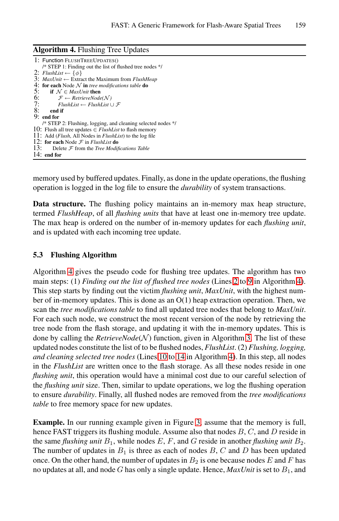<span id="page-10-0"></span>**Algorithm 4.** Flushing Tree Updates

```
1: Function FLUSHTREEUPDATES()
     /* STEP 1: Finding out the list of flushed tree nodes */
2: FlushList \leftarrow {\phi}<br>3: MaxUnit \leftarrow \text{Extra}3: MaxUnit ← Extract the Maximum from FlushHeap
4: for each Node N in tree modifications table do
5: if N \in MaxUnit then<br>6: \mathcal{F} \leftarrow RetrieveNod<br>7: FlushList \leftarrow Flush
               F \leftarrow RetrieveNode(\mathcal{N})
          7: FlushList ← FlushList ∪ F
8: end if
9: end for
     /* STEP 2: Flushing, logging, and cleaning selected nodes */
10: Flush all tree updates ∈ FlushList to flash memory
      11: Add (Flush, All Nodes in FlushList) to the log file
12: for each Node \mathcal F in FlushList do<br>13: Delete \mathcal F from the Tree Modit
           Delete F from the Tree Modifications Table
14: end for
```
memory used by buffered updates. Finally, as done in the update operations, the flushing operation is logged in the log file to ensure the *durability* of system transactions.

**Data structure.** The flushing policy ma[int](#page-7-1)ai[ns](#page-7-6) an in-memo[ry](#page-10-0) max heap structure, termed *FlushHeap*, of all *flushing units* that have at least one in-memory tree update. The max heap is ordered on the number of in-memory updates for each *flushing unit*, and is updated with each incoming tree update.

### **5.3 Flushing Algorithm**

Algorithm 4 gives the pseudo code for flushi[ng](#page-8-1) tree updates. The algorithm has two main steps: (1) *Fin[din](#page-7-7)g [out](#page-7-8) the list of flu[she](#page-10-0)d tree nodes* (Lines 2 to 9 in Algorithm 4). This step starts by finding out the victim *flushing unit*, *MaxUnit*, with the highest number of in-memory updates. This is done as an O(1) heap extraction operation. Then, we scan the *tree modifications table* to find all updated tree nodes that belong to *MaxUnit*. For each such node, we construct the most recent version of the node by retrieving the tree node from the flash storage, and updating it with the in-memory updates. This is done by calling the  $RetrieveNode(\mathcal{N})$  function, given in Algorithm 3. The list of these updated nodes constitute the lis[t o](#page-5-1)f to be flushed nodes, *FlushList*. (2) *Flushing, logging, and cleaning selected tree nodes* (Lines 10 to 14 in Algorithm 4). In this step, all nodes in the *FlushList* are written once to the flash storage. As all these nodes reside in one *flushing unit*, this operation would have a minimal cost due to our careful selection of the *flushing unit* size. Then, similar to update operations, we log the flushing operation to ensure *durability*. Finally, all flushed nodes are removed from the *tree modifications table* to free memory space for new updates.

**Example.** In our running example given in Figure 3, assume that the memory is full, hence FAST triggers its flushing module. Assume also that nodes *B*, *C*, and *D* reside in the same *flushing unit*  $B_1$ , while nodes  $E$ ,  $F$ , and  $G$  reside in another *flushing unit*  $B_2$ . The number of updates in  $B_1$  is three as each of nodes  $B$ ,  $C$  and  $D$  has been updated once. On the other hand, the number of updates in  $B_2$  is one because nodes  $E$  and  $F$  has no updates at all, and node *G* has only a single update. Hence, *MaxUnit* is set to *B*1, and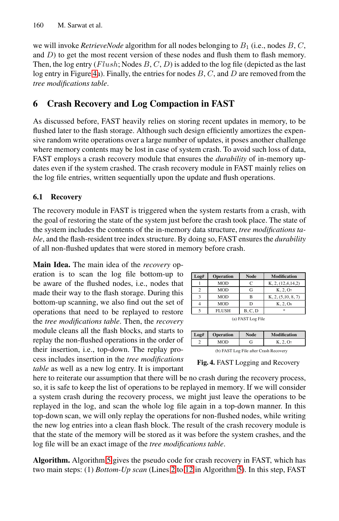<span id="page-11-0"></span>we will invoke *RetrieveNode* algorithm for all nodes belonging to *B*<sup>1</sup> (i.e., nodes *B*, *C*, and *D*) to get the most recent version of these nodes and flush them to flash memory. Then, the log entry (*Flush*; Nodes *B*, *C*, *D*) is added to the log file (depicted as the last log entry in Figure 4a). Finally, the entries for nodes *B*, *C*, and *D* are removed from the *tree modifications table*.

# **6 Crash Recovery and Log Compaction in FAST**

As discussed before, FAST heavily relies on storing recent updates in memory, to be flushed later to the flash storage. Although such design efficiently amortizes the expensive random write operations over a large number of updates, it poses another challenge where memory contents may be lost in case of system crash. To avoid such loss of data, FAST employs a crash recovery module that ensures the *durability* of in-memory updates even if the system crashed. The crash recovery module in FAST mainly relies on the log file entries, written sequentially upon the update and flush operations.

#### **6.1 Recovery**

The recovery module in FAST is triggered when the system restarts from a crash, with the goal of restoring the state of the system just before the crash took place. The state of the system includes the contents of the in-memory data structure, *tree modifications table*, and the flash-resident tree index structure. By doing so, FAST ensures the *durability* of all non-flushed updates that were stored in memory before crash.

**Main Idea.** The main idea of the *recovery* op-

eration is to scan the log file bottom-up to be aware of the flushed nodes, i.e., nodes that made their way to the flash storage. During this bottom-up scanning, we also find out the set of operations that need to be replayed to restore the *tree modifications table*. Then, the *recovery* module cleans all the flash blocks, and starts to replay the non-flushed operations in the order of their insertion, i.e., top-down. The replay process includes insertion in the *tree modifications table* as well as a new log entry. It is important

<span id="page-11-1"></span>

| Log#              | <b>Operation</b> | <b>Node</b> | <b>Modification</b>    |  |
|-------------------|------------------|-------------|------------------------|--|
|                   | <b>MOD</b>       | C           | $K$ , 2, $(12,4,14,2)$ |  |
|                   | <b>MOD</b>       | G           | K, 2, 07               |  |
| 3                 | <b>MOD</b>       | B           | K, 2, (5,10, 8, 7)     |  |
|                   | <b>MOD</b>       | D           | K, 2, Os               |  |
|                   | <b>FLUSH</b>     | B, C, D     | ź.                     |  |
| (a) FAST Log File |                  |             |                        |  |

| Log# | <b>Operation</b> | <b>Node</b> | <b>Modification</b>                    |
|------|------------------|-------------|----------------------------------------|
|      | MOD              |             | K. 2. O <sub>7</sub>                   |
|      |                  |             | (b) FAST Log File after Crash Recovery |

**Fig. 4.** FAST Logging and Recovery

here to reiterate our assumption that there will be no crash during the recovery process, so[, it](#page-12-0) is safe to keep the list of operations to be replayed in memory. If we will consider a system crash during [th](#page-7-1)e [reco](#page-7-9)very process[, w](#page-12-0)e might just leave the operations to be replayed in the log, and scan the whole log file again in a top-down manner. In this top-down scan, we will only replay the operations for non-flushed nodes, while writing the new log entries into a clean flash block. The result of the crash recovery module is that the state of the memory will be stored as it was before the system crashes, and the log file will be an exact image of the *tree modifications table*.

**Algorithm.** Algorithm 5 gives the pseudo code for crash recovery in FAST, which has two main steps: (1) *Bottom-Up scan* (Lines 2 to 12 in Algorithm 5). In this step, FAST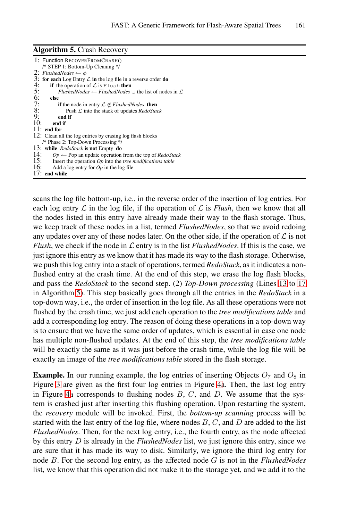<span id="page-12-0"></span>**Algorithm 5.** Crash Recovery

```
1: Function RECOVERFROMCRASH()
      /* STEP 1: Bottom-Up Cleaning */
2: FlushedNodes \leftarrow \phi<br>3: for each Log Entry
3: for each Log Entry \mathcal L in the log file in a reverse order do 4: if the operation of \mathcal L is Flush then
4: if the operation of \mathcal{L} is Flush then<br>5: FlushedNodes \leftarrow FlushedNodes
                5: FlushedNodes ← FlushedNodes ∪ the list of nodes in L
6: else
7: if the node in entry \mathcal{L} \notin \text{FlushedNodes} then<br>8: Push \mathcal{L} into the stack of updates RedoSta<br>9. end if
                     Push \mathcal L into the stack of updates RedoStack
9: end if
            10: end if
11: end for
12: Clean all the log entries by erasing log flash blocks
     /* Phase 2: Top-Down Processing */
13: while RedoStack is not Empty do<br>14: \Omega p \leftarrow Pop an undate operation
14: Op \leftarrow Pop an update operation from the top of RedoStack<br>15: Insert the operation On into the tree modifications table
            15: Insert the operation Op into the tree modifications table
16: Add a log entry for Op in the log file 17: end while
       end while
```
scans the log file bottom-up, i.e., in the reverse order of the insertion of log entries. For each log entry  $\mathcal L$  in the log file, if the operation of  $\mathcal L$  is *[Flu](#page-7-10)sh*[, th](#page-7-11)en we know that all the nodes listed in this entry have already made their way to the flash storage. Thus, we keep track of these nodes in a list, termed *FlushedNodes*, so that we avoid redoing any updates over any of these nodes later. On the other side, if the operation of  $\mathcal L$  is not *Flush*, we check if the node in  $\mathcal L$  entry is in the list *FlushedNodes*. If this is the case, we just ignore this entry as we know that it has made its way to the flash storage. Otherwise, we push this log entry into a stack of operations, termed *RedoStack*, as it indicates a nonflushed entry at the crash time. At the end of this step, we erase the log flash blocks, and pass the *RedoStack* to the second step. (2) *Top-Down processing* (Lines 13 to 17 in Algorithm 5). This step basically goes through all the entries in the *RedoStack* in a top-down way, i.e., the order of insertion in the log file. As all these operations were not flushed by the crash time, we just add [ea](#page-11-1)ch operation to the *tree modifications table* and add a corresponding log entry. The reason of doing these operations in a top-down way is to ensure that we have the same order of updates, which is essential in case one node has multiple non-flushed updates. At the end of this step, the *tree modifications table* will be exactly the same as it was just before the crash time, while the log file will be exactly an image of the *tree modifications table* stored in the flash storage.

**Example.** In our running example, the log entries of inserting Objects  $O_7$  and  $O_8$  in Figure 3 are given as the first four log entries in Figure 4a. Then, the last log entry in Figure 4a corresponds to flushing nodes *B*, *C*, and *D*. We assume that the system is crashed just after inserting this flushing operation. Upon restarting the system, the *recovery* module will be invoked. First, the *bottom-up scanning* process will be started with the last entry of the log file, where nodes *B*, *C*, and *D* are added to the list *FlushedNodes*. Then, for the next log entry, i.e., the fourth entry, as the node affected by this entry *D* is already in the *FlushedNodes* list, we just ignore this entry, since we are sure that it has made its way to disk. Similarly, we ignore the third log entry for node *B*. For the second log entry, as the affected node *G* is not in the *FlushedNodes* list, we know that this operation did not make it to the storage yet, and we add it to the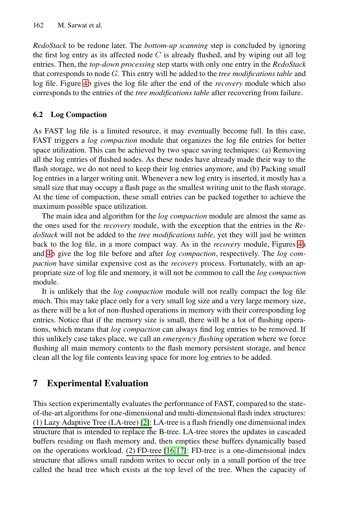*RedoStack* to be redone later. The *bottom-up scanning* step is concluded by ignoring the first log entry as its affected node  $C$  is already flushed, and by wiping out all log entries. Then, the *top-down processing* step starts with only one entry in the *RedoStack* that corresponds to node *G*. This entry will be added to the *tree modifications table* and log file. Figure 4b gives the log file after the end of the *recovery* module which also corresponds to the entries of the *tree modifications table* after recovering from failure.

### **6.2 Log Compaction**

As FAST log file is a limited resource, it may eventually become full. In this case, FAST triggers a *log compaction* module that organizes the log file entries for better space utilization. This can be achieved by two space saving techniques: (a) Removing all the log entries of flushed nodes. As these nodes have already made their way to the flash storage, we do not need to keep their log entries anymor[e, a](#page-11-1)nd (b) Packing small log entries in a larger writing unit. Whenever a new log entry is inserted, it mostly has a small size that may occupy a flash page as the smallest writing unit to the flash storage. At the time of compaction, these small entries can be packed together to achieve the maximum possible space utilization.

The main idea and algorithm for the *log compaction* module are almost the same as the ones used for the *recovery* module, with the exception that the entries in the *RedoStack* will not be added to the *tree modifications table*, yet they will just be written back to the log file, in a more compact way. As in the *recovery* module, Figures 4a and 4b give the log file before and after *log compaction*, respectively. The *log compaction* have similar expensive cost as the *recovery* process. Fortunately, with an appropriate size of log file and memory, it will not be common to call the *log compaction* module.

<span id="page-13-0"></span>It is unlikely that the *log compaction* module will not really compact the log file much. This may take place only for a very small log size and a very large memory size, as there will be a lot of non-flushed operations in memory with their corresponding log entries. Notice that if the memory size is small, there will be a lot of flushing operations, which means that *log compaction* can always find log entries to be removed. If this unlikely case takes place, we call an *emergency flushing* operation where we force flushing all [mai](#page-18-13)n memory contents to the flash memory persistent storage, and hence clean all the log file contents leaving space for more log entries to be added.

# **7 Experimenta[l](#page-18-14) [E](#page-18-14)[va](#page-18-15)luation**

This section experimentally evaluates the performance of FAST, compared to the stateof-the-art algorithms for one-dimensional and multi-dimensional flash index structures: (1) Lazy Adaptive Tree (LA-tree) [2]: LA-tree is a flash friendly one dimensional index structure that is intended to replace the B-tree. LA-tree stores the updates in cascaded buffers residing on flash memory and, then empties these buffers dynamically based on the operations workload. (2) FD-tree [16,17]: FD-tree is a one-dimensional index structure that allows small random writes to occur only in a small portion of the tree called the head tree which exists at the top level of the tree. When the capacity of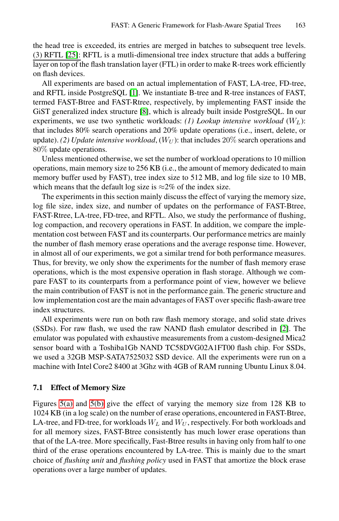the head tree [is](#page-18-16) exceeded, its entries are merged in batches to subsequent tree levels. (3) RFTL [25]: RFTL is a mutli-dimensional tree index structure that adds a buffering layer on top of the flash translation layer (FTL) in order to make R-trees work efficiently on flash devices.

All experiments are based on an actual implementation of FAST, LA-tree, FD-tree, and RFTL inside PostgreSQL [1]. We instantiate B-tree and R-tree instances of FAST, termed FAST-Btree and FAST-Rtree, respectively, by implementing FAST inside the GiST generalized index structure [8], which is already built inside PostgreSQL. In our experiments, we use two synthetic workloads: *(1) Lookup intensive workload* ( $W_L$ ): that includes 80% search operations and 20% update operations (i.e., insert, delete, or update). *(2) Update intensive workload*,  $(W_U)$ : that includes 20% search operations and 80% update operations.

Unless mentioned otherwise, we set the number of workload operations to 10 million operations, main memory size to 256 KB (i.e., the amount of memory dedicated to main memory buffer used by FAST), tree index size to 512 MB, and log file size to 10 MB, which means that the default log size is  $\approx$ 2% of the index size.

The experiments in this section mainly discuss the effect of varying the memory size, log file size, index size, and number of updates on the performance of FAST-Btree, FAST-Rtree, LA-tree, FD-tree, and RFTL. Also, we study the performance of flushing, log compaction, and recovery operations in FAST. In addition, we compare the implementation cost between FAST and its counterparts. Our performance metrics are mainly the number of flash memory erase operations and the average response time. However, in almost all of our experiments, we got a similar trend for [bo](#page-18-13)th performance measures. Thus, for brevity, we only show the experiments for the number of flash memory erase operations, which is the most expensive operation in flash storage. Although we compare FAST to its counterparts from a performance point of view, however we believe the main contribution of FAST is not in the performance gain. The generic structure and low implementation cost are the main advantages of FAST over specific flash-aware tree index structures.

All experiments were run on both raw flash memory storage, and solid state drives [\(S](#page-15-0)SDs). For raw flash, we used the raw NAND flash emulator described in [2]. The emulator was populated with exhaustive measurements from a custom-designed Mica2 sensor board with a Toshiba1Gb NAND TC58DVG02A1FT00 flash chip. For SSDs, we used a 32GB MSP-SATA7525032 SSD device. All the experiments were run on a machine with Intel Core2 8400 at 3Ghz with 4GB of RAM running Ubuntu Linux 8.04.

### **7.1 Effect of Memory Size**

Figures 5(a) and 5(b) give the effect of varying the memory size from 128 KB to 1024 KB (in a log scale) on the number of erase operations, encountered in FAST-Btree, LA-tree, and FD-tree, for workloads  $W_L$  and  $W_U$ , respectively. For both workloads and for all memory sizes, FAST-Btree consistently has much lower erase operations than that of the LA-tree. More specifically, Fast-Btree results in having only from half to one third of the erase operations encountered by LA-tree. This is mainly due to the smart choice of *flushing unit* and *flushing policy* used in FAST that amortize the block erase operations over a large number of updates.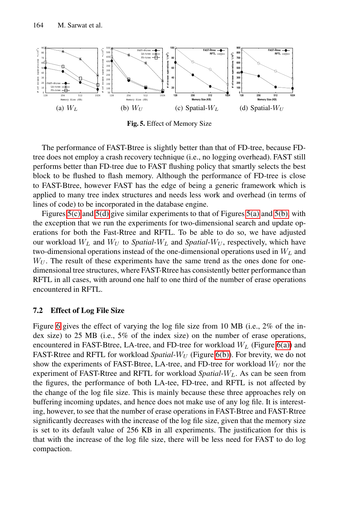<span id="page-15-2"></span><span id="page-15-0"></span>

<span id="page-15-1"></span>**Fig. 5.** Effect of Memory Size

[T](#page-15-1)he performance of FAST-Btree is slightly [better](#page-15-2) th[an](#page-15-0) [tha](#page-15-0)t of FD-tree, because FDtree does not employ a crash recovery technique (i.e., no logging overhead). FAST still performs better than FD-tree due to FAST flushing policy that smartly selects the best block to be flushed to flash memory. Although the performance of FD-tree is close to FAST-Btree, however FAST has the edge of being a generic framework which is applied to many tree index structures and needs less work and overhead (in terms of lines of code) to be incorporated in the database engine.

<span id="page-15-3"></span>Figures 5(c) and 5(d) give similar experiments to that of Figures 5(a) and 5(b), with the exception that we run the experiments for two-dimensional search and update operations for both the Fast-Rtree and RFTL. To be able to do so, we have adjusted our workload  $W_L$  and  $W_U$  to *Spatial-W<sub>L</sub>* and *Spatial-W<sub>U</sub>*, respectively, which have two-dimensional operations instead of the one-dimensional operations used in  $W_L$  and  $W_U$ . The result of these experiments have the same trend as the ones done for onedimensional tree structures, where FAST-Rtree has consi[stentl](#page-16-0)y better performance than RFTL in all cases, with around one [half to](#page-16-1) one third of the number of erase operations encountered in RFTL.

#### **7.2 Effect of Log File Size**

Figure 6 gives the effect of varying the log file size from 10 MB (i.e., 2% of the index size) to 25 MB (i.e., 5% of the index size) on the number of erase operations, encountered in FAST-Btree, LA-tree, and FD-tree for workload  $W_L$  (Figure 6(a)) and FAST-Rtree and RFTL for workload *Spatial-W<sub>U</sub>* (Figure 6(b)). For brevity, we do not show the experiments of FAST-Btree, LA-tree, and FD-tree for workload  $W_U$  nor the experiment of FAST-Rtree and RFTL for workload *Spatial*-*W*L. As can be seen from the figures, the performance of both LA-tee, FD-tree, and RFTL is not affected by the change of the log file size. This is mainly because these three approaches rely on buffering incoming updates, and hence does not make use of any log file. It is interesting, however, to see that the number of erase operations in FAST-Btree and FAST-Rtree significantly decreases with the increase of the log file size, given that the memory size is set to its default value of 256 KB in all experiments. The justification for this is that with the increase of the log file size, there will be less need for FAST to do log compaction.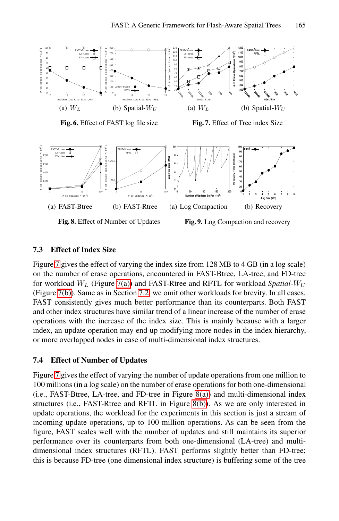<span id="page-16-4"></span><span id="page-16-3"></span><span id="page-16-2"></span><span id="page-16-1"></span><span id="page-16-0"></span>

### **7.3 Effect of Index Size**

Figure 7 gives the effect of varying the index size from 128 MB to 4 GB (in a log scale) on the number of erase operations, encountered in FAST-Btree, LA-tree, and FD-tree for workload  $W_L$  (Figure 7(a)) and FAST-Rtree and RFTL for workload *Spatial-W<sub>U</sub>* (Figure 7(b)). Same as in Section 7.2, we omit other workloads for brevity. In all cases, FAST consistently gives much better performance than its counterparts. Both FAST and other index structures have similar trend of a linear increase of the number of erase operations with the increase [of the](#page-16-3) index size. This is mainly because with a larger index, an update operation m[ay en](#page-16-4)d up modifying more nodes in the index hierarchy, or more overlapped nodes in case of multi-dimensional index structures.

### **7.4 Effect of Number of Updates**

Figure 7 gives the effect of varying the number of update operations from one million to 100 millions (in a log scale) on the number of erase operations for both one-dimensional (i.e., FAST-Btree, LA-tree, and FD-tree in Figure 8(a)) and multi-dimensional index structures (i.e., FAST-Rtree and RFTL in Figure 8(b)). As we are only interested in update operations, the workload for the experiments in this section is just a stream of incoming update operations, up to 100 million operations. As can be seen from the figure, FAST scales well with the number of updates and still maintains its superior performance over its counterparts from both one-dimensional (LA-tree) and multidimensional index structures (RFTL). FAST performs slightly better than FD-tree; this is because FD-tree (one dimensional index structure) is buffering some of the tree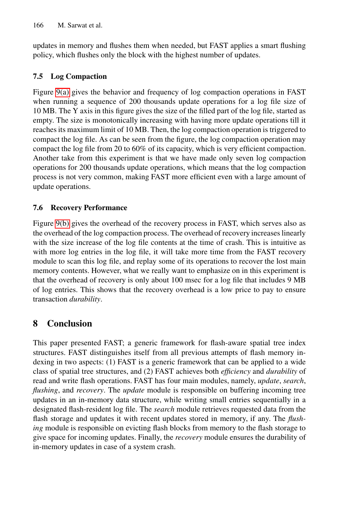updates in memory and flushes them when needed, but FAST applies a smart flushing policy, which flushes only the block with the highest number of updates.

### **7.5 Log Compaction**

Figure 9(a) gives the behavior and frequency of log compaction operations in FAST when running a sequence of 200 thousands update operations for a log file size of 10 MB. The Y axis in this figure gives the size of the filled part of the log file, started as empty. The size is monotonically increasing with having more update operations till it reaches its maximum limit of 10 MB. Then, the log compaction operation is triggered to compact the log file. As can be seen from the figure, the log compaction operation may compact the log file from 20 to 60% of its capacity, which is very efficient compaction. Another take from this experiment is that we have made only seven log compaction operations for 200 thousands update operations, which means that the log compaction process is not very common, making FAST more efficient even with a large amount of update operations.

# **7.6 Recovery Performance**

<span id="page-17-0"></span>Figure 9(b) gives the overhead of the recovery process in FAST, which serves also as the overhead of the log compaction process. The overhead of recovery increases linearly with the size increase of the log file contents at the time of crash. This is intuitive as with more log entries in the log file, it will take more time from the FAST recovery module to scan this log file, and replay some of its operations to recover the lost main memory contents. However, what we really want to emphasize on in this experiment is that the overhead of recovery is only about 100 msec for a log file that includes 9 MB of log entries. This shows that the recovery overhead is a low price to pay to ensure transaction *durability*.

# **8 Conclusion**

This paper presented FAST; a generic framework for flash-aware spatial tree index structures. FAST distinguishes itself from all previous attempts of flash memory indexing in two aspects: (1) FAST is a generic framework that can be applied to a wide class of spatial tree structures, and (2) FAST achieves both *efficiency* and *durability* of read and write flash operations. FAST has four main modules, namely, *update*, *search*, *flushing*, and *recovery*. The *update* module is responsible on buffering incoming tree updates in an in-memory data structure, while writing small entries sequentially in a designated flash-resident log file. The *search* module retrieves requested data from the flash storage and updates it with recent updates stored in memory, if any. The *flushing* module is responsible on evicting flash blocks from memory to the flash storage to give space for incoming updates. Finally, the *recovery* module ensures the durability of in-memory updates in case of a system crash.